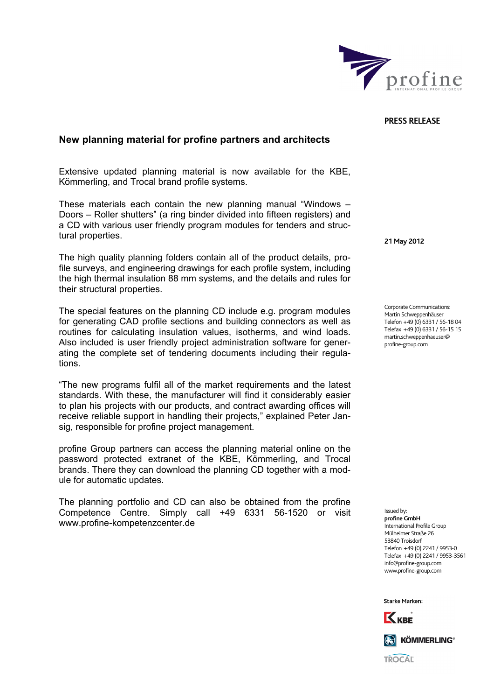

**PRESS RELEASE**

## Extensive updated planning material is now available for the KBE, Kömmerling, and Trocal brand profile systems. These materials each contain the new planning manual "Windows – Doors – Roller shutters" (a ring binder divided into fifteen registers) and

a CD with various user friendly program modules for tenders and structural properties.

**New planning material for profine partners and architects** 

The high quality planning folders contain all of the product details, profile surveys, and engineering drawings for each profile system, including the high thermal insulation 88 mm systems, and the details and rules for their structural properties.

The special features on the planning CD include e.g. program modules for generating CAD profile sections and building connectors as well as routines for calculating insulation values, isotherms, and wind loads. Also included is user friendly project administration software for generating the complete set of tendering documents including their regulations.

"The new programs fulfil all of the market requirements and the latest standards. With these, the manufacturer will find it considerably easier to plan his projects with our products, and contract awarding offices will receive reliable support in handling their projects," explained Peter Jansig, responsible for profine project management.

profine Group partners can access the planning material online on the password protected extranet of the KBE, Kömmerling, and Trocal brands. There they can download the planning CD together with a module for automatic updates.

The planning portfolio and CD can also be obtained from the profine Competence Centre. Simply call +49 6331 56-1520 or visit [www.profine-kompetenzcenter.de](http://www.profine-kompetenzcenter.de/)

**21 May 2012** 

Corporate Communications: Martin Schweppenhäuser Telefon +49 (0) 6331 / 56-18 04 Telefax +49 (0) 6331 / 56-15 15 martin.schweppenhaeuser@ profine-group.com

Issued by: **profine GmbH**  .<br>International Profile Group Mülheimer Straße 26 53840 Troisdorf Telefon +49 (0) 2241 / 9953-0 Telefax +49 (0) 2241 / 9953-3561 info@profine-group.com www.profine-group.com

Starke Marken